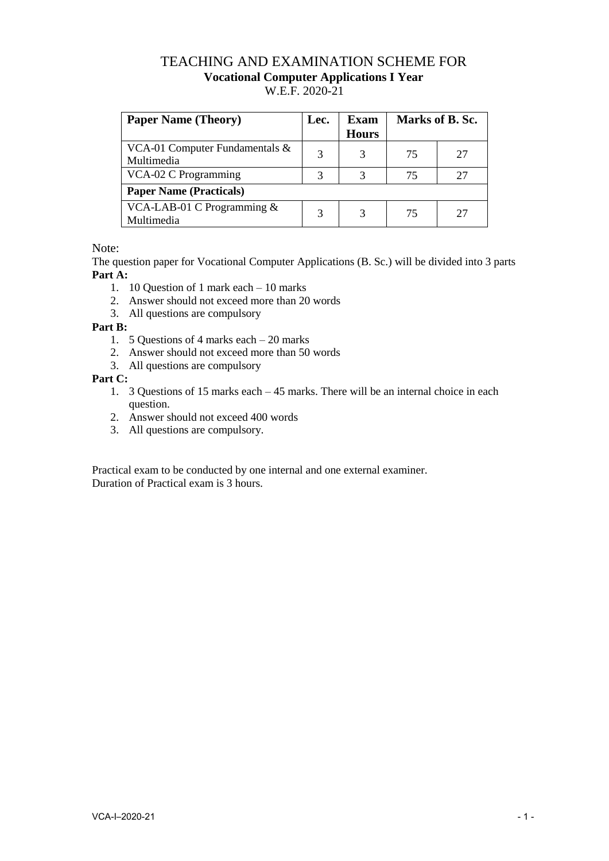## TEACHING AND EXAMINATION SCHEME FOR **Vocational Computer Applications I Year**  W.E.F. 2020-21

| <b>Paper Name (Theory)</b>                      | Lec. | <b>Exam</b><br><b>Hours</b> | Marks of B. Sc. |    |
|-------------------------------------------------|------|-----------------------------|-----------------|----|
| VCA-01 Computer Fundamentals $\&$<br>Multimedia | 3    |                             | 75              | 27 |
| VCA-02 C Programming                            | 3    | 3                           | 75              | 27 |
| <b>Paper Name (Practicals)</b>                  |      |                             |                 |    |
| VCA-LAB-01 C Programming $&$<br>Multimedia      | 3    |                             | 75              | 27 |

Note:

The question paper for Vocational Computer Applications (B. Sc.) will be divided into 3 parts **Part A:**

- 1. 10 Question of 1 mark each 10 marks
- 2. Answer should not exceed more than 20 words
- 3. All questions are compulsory

## **Part B:**

- 1. 5 Questions of 4 marks each 20 marks
- 2. Answer should not exceed more than 50 words
- 3. All questions are compulsory

**Part C:**

- 1. 3 Questions of 15 marks each 45 marks. There will be an internal choice in each question.
- 2. Answer should not exceed 400 words
- 3. All questions are compulsory.

Practical exam to be conducted by one internal and one external examiner. Duration of Practical exam is 3 hours.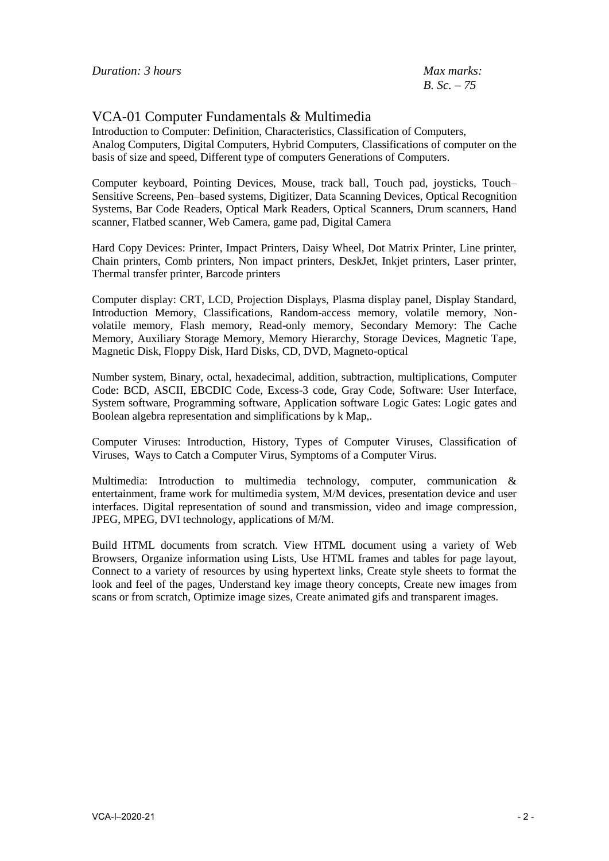*B. Sc. – 75*

## VCA-01 Computer Fundamentals & Multimedia

Introduction to Computer: Definition, Characteristics, Classification of Computers, Analog Computers, Digital Computers, Hybrid Computers, Classifications of computer on the basis of size and speed, Different type of computers Generations of Computers.

Computer keyboard, Pointing Devices, Mouse, track ball, Touch pad, joysticks, Touch– Sensitive Screens, Pen–based systems, Digitizer, Data Scanning Devices, Optical Recognition Systems, Bar Code Readers, Optical Mark Readers, Optical Scanners, Drum scanners, Hand scanner, Flatbed scanner, Web Camera, game pad, Digital Camera

Hard Copy Devices: Printer, Impact Printers, Daisy Wheel, Dot Matrix Printer, Line printer, Chain printers, Comb printers, Non impact printers, DeskJet, Inkjet printers, Laser printer, Thermal transfer printer, Barcode printers

Computer display: CRT, LCD, Projection Displays, Plasma display panel, Display Standard, Introduction Memory, Classifications, Random-access memory, volatile memory, Nonvolatile memory, Flash memory, Read-only memory, Secondary Memory: The Cache Memory, Auxiliary Storage Memory, Memory Hierarchy, Storage Devices, Magnetic Tape, Magnetic Disk, Floppy Disk, Hard Disks, CD, DVD, Magneto-optical

Number system, Binary, octal, hexadecimal, addition, subtraction, multiplications, Computer Code: BCD, ASCII, EBCDIC Code, Excess-3 code, Gray Code, Software: User Interface, System software, Programming software, Application software Logic Gates: Logic gates and Boolean algebra representation and simplifications by k Map,.

Computer Viruses: Introduction, History, Types of Computer Viruses, Classification of Viruses, Ways to Catch a Computer Virus, Symptoms of a Computer Virus.

Multimedia: Introduction to multimedia technology, computer, communication & entertainment, frame work for multimedia system, M/M devices, presentation device and user interfaces. Digital representation of sound and transmission, video and image compression, JPEG, MPEG, DVI technology, applications of M/M.

Build HTML documents from scratch. View HTML document using a variety of Web Browsers, Organize information using Lists, Use HTML frames and tables for page layout, Connect to a variety of resources by using hypertext links, Create style sheets to format the look and feel of the pages, Understand key image theory concepts, Create new images from scans or from scratch, Optimize image sizes, Create animated gifs and transparent images.